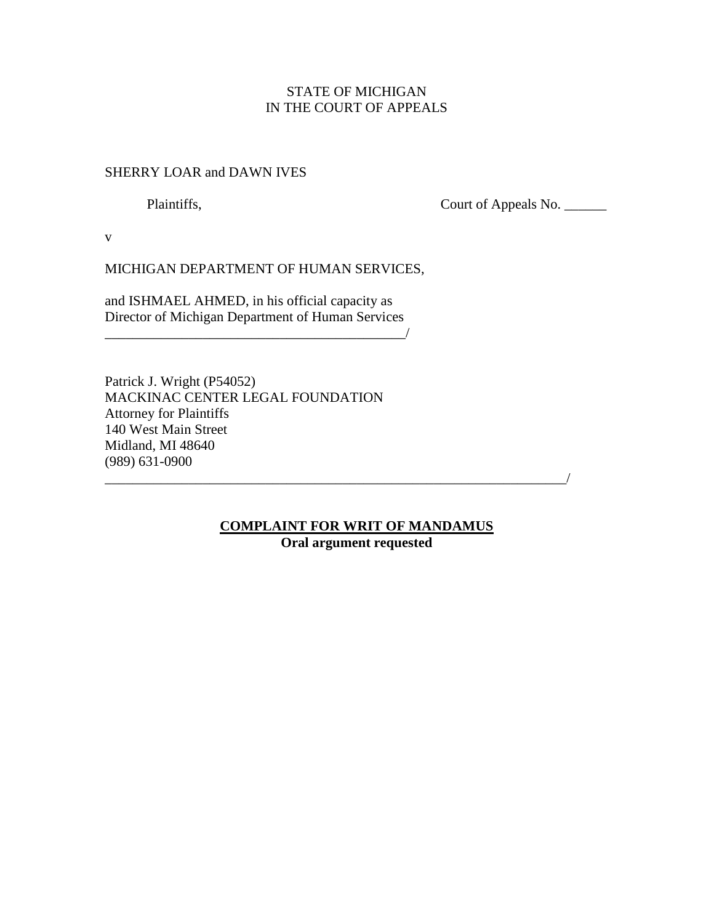# STATE OF MICHIGAN IN THE COURT OF APPEALS

## SHERRY LOAR and DAWN IVES

Plaintiffs, Court of Appeals No. \_\_\_\_\_\_\_

v

MICHIGAN DEPARTMENT OF HUMAN SERVICES,

and ISHMAEL AHMED, in his official capacity as Director of Michigan Department of Human Services

\_\_\_\_\_\_\_\_\_\_\_\_\_\_\_\_\_\_\_\_\_\_\_\_\_\_\_\_\_\_\_\_\_\_\_\_\_\_\_\_\_\_\_/

Patrick J. Wright (P54052) MACKINAC CENTER LEGAL FOUNDATION Attorney for Plaintiffs 140 West Main Street Midland, MI 48640 (989) 631-0900

# **COMPLAINT FOR WRIT OF MANDAMUS Oral argument requested**

 $\overline{\phantom{a}}$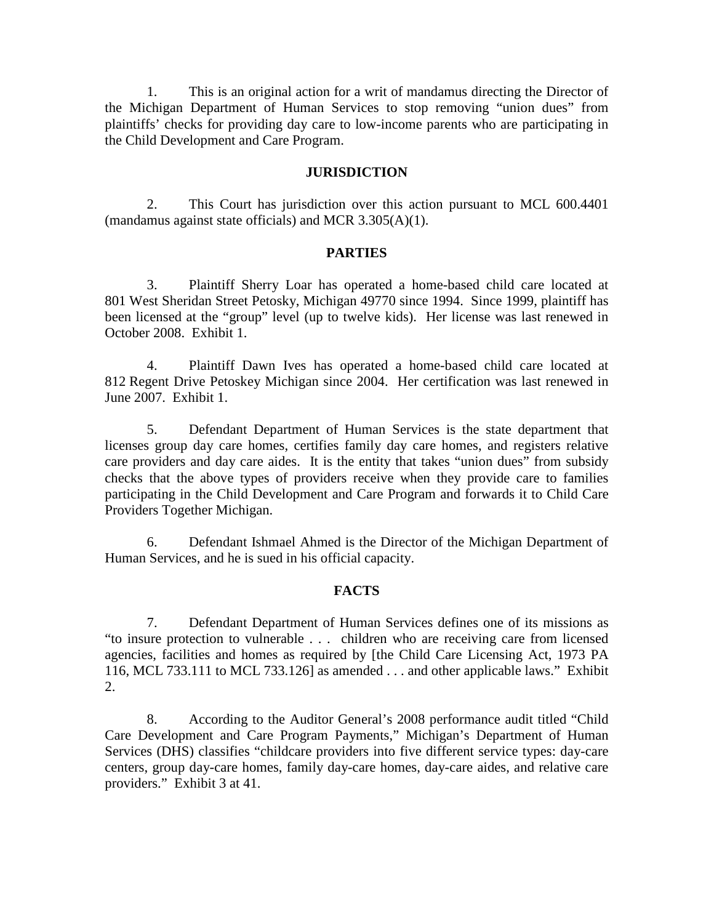1. This is an original action for a writ of mandamus directing the Director of the Michigan Department of Human Services to stop removing "union dues" from plaintiffs' checks for providing day care to low-income parents who are participating in the Child Development and Care Program.

## **JURISDICTION**

2. This Court has jurisdiction over this action pursuant to MCL 600.4401 (mandamus against state officials) and MCR 3.305(A)(1).

### **PARTIES**

3. Plaintiff Sherry Loar has operated a home-based child care located at 801 West Sheridan Street Petosky, Michigan 49770 since 1994. Since 1999, plaintiff has been licensed at the "group" level (up to twelve kids). Her license was last renewed in October 2008. Exhibit 1.

4. Plaintiff Dawn Ives has operated a home-based child care located at 812 Regent Drive Petoskey Michigan since 2004. Her certification was last renewed in June 2007. Exhibit 1.

5. Defendant Department of Human Services is the state department that licenses group day care homes, certifies family day care homes, and registers relative care providers and day care aides. It is the entity that takes "union dues" from subsidy checks that the above types of providers receive when they provide care to families participating in the Child Development and Care Program and forwards it to Child Care Providers Together Michigan.

6. Defendant Ishmael Ahmed is the Director of the Michigan Department of Human Services, and he is sued in his official capacity.

### **FACTS**

7. Defendant Department of Human Services defines one of its missions as "to insure protection to vulnerable . . . children who are receiving care from licensed agencies, facilities and homes as required by [the Child Care Licensing Act, 1973 PA 116, MCL 733.111 to MCL 733.126] as amended . . . and other applicable laws." Exhibit 2.

8. According to the Auditor General's 2008 performance audit titled "Child Care Development and Care Program Payments," Michigan's Department of Human Services (DHS) classifies "childcare providers into five different service types: day-care centers, group day-care homes, family day-care homes, day-care aides, and relative care providers." Exhibit 3 at 41.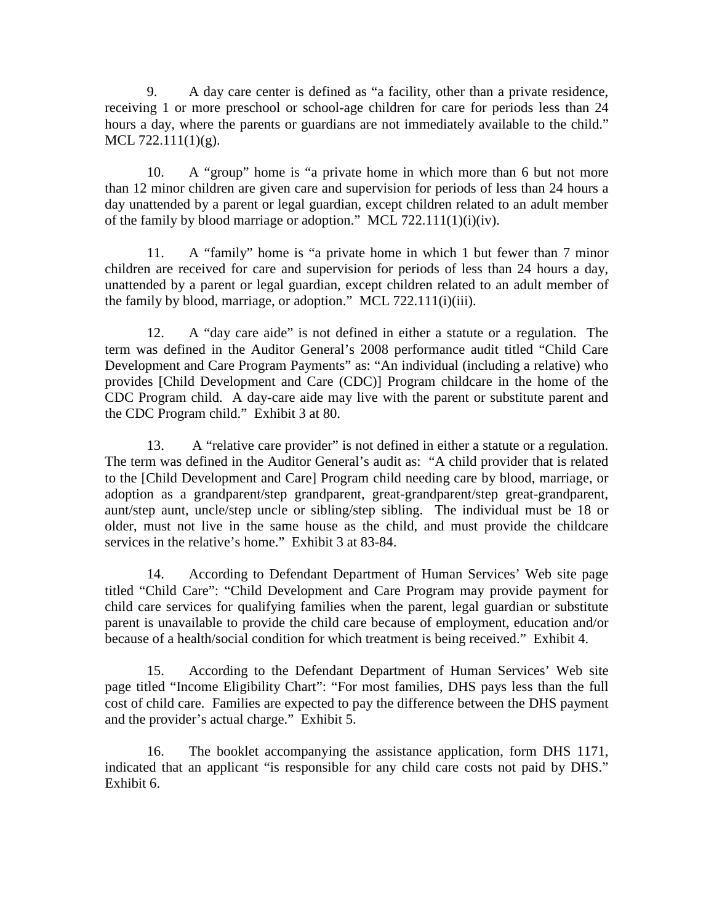9. A day care center is defined as "a facility, other than a private residence, receiving 1 or more preschool or school-age children for care for periods less than 24 hours a day, where the parents or guardians are not immediately available to the child." MCL 722.111(1)(g).

10. A "group" home is "a private home in which more than 6 but not more than 12 minor children are given care and supervision for periods of less than 24 hours a day unattended by a parent or legal guardian, except children related to an adult member of the family by blood marriage or adoption." MCL 722.111(1)(i)(iv).

11. A "family" home is "a private home in which 1 but fewer than 7 minor children are received for care and supervision for periods of less than 24 hours a day, unattended by a parent or legal guardian, except children related to an adult member of the family by blood, marriage, or adoption." MCL 722.111(i)(iii).

12. A "day care aide" is not defined in either a statute or a regulation. The term was defined in the Auditor General's 2008 performance audit titled "Child Care Development and Care Program Payments" as: "An individual (including a relative) who provides [Child Development and Care (CDC)] Program childcare in the home of the CDC Program child. A day-care aide may live with the parent or substitute parent and the CDC Program child." Exhibit 3 at 80.

13. A "relative care provider" is not defined in either a statute or a regulation. The term was defined in the Auditor General's audit as: "A child provider that is related to the [Child Development and Care] Program child needing care by blood, marriage, or adoption as a grandparent/step grandparent, great-grandparent/step great-grandparent, aunt/step aunt, uncle/step uncle or sibling/step sibling. The individual must be 18 or older, must not live in the same house as the child, and must provide the childcare services in the relative's home." Exhibit 3 at 83-84.

14. According to Defendant Department of Human Services' Web site page titled "Child Care": "Child Development and Care Program may provide payment for child care services for qualifying families when the parent, legal guardian or substitute parent is unavailable to provide the child care because of employment, education and/or because of a health/social condition for which treatment is being received." Exhibit 4.

15. According to the Defendant Department of Human Services' Web site page titled "Income Eligibility Chart": "For most families, DHS pays less than the full cost of child care. Families are expected to pay the difference between the DHS payment and the provider's actual charge." Exhibit 5.

16. The booklet accompanying the assistance application, form DHS 1171, indicated that an applicant "is responsible for any child care costs not paid by DHS." Exhibit 6.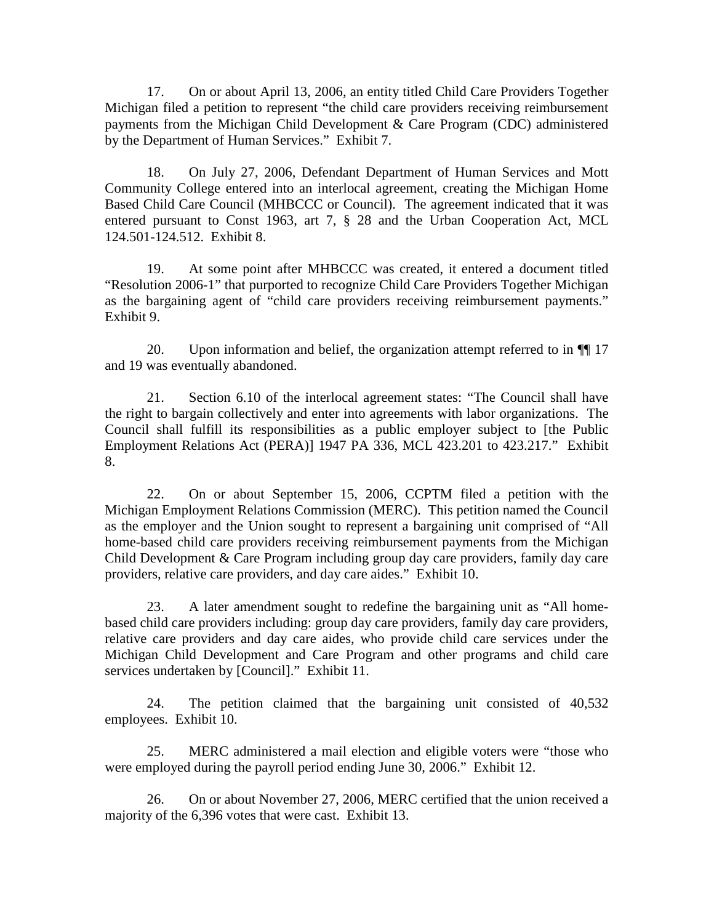17. On or about April 13, 2006, an entity titled Child Care Providers Together Michigan filed a petition to represent "the child care providers receiving reimbursement payments from the Michigan Child Development & Care Program (CDC) administered by the Department of Human Services." Exhibit 7.

18. On July 27, 2006, Defendant Department of Human Services and Mott Community College entered into an interlocal agreement, creating the Michigan Home Based Child Care Council (MHBCCC or Council). The agreement indicated that it was entered pursuant to Const 1963, art 7, § 28 and the Urban Cooperation Act, MCL 124.501-124.512. Exhibit 8.

19. At some point after MHBCCC was created, it entered a document titled "Resolution 2006-1" that purported to recognize Child Care Providers Together Michigan as the bargaining agent of "child care providers receiving reimbursement payments." Exhibit 9.

20. Upon information and belief, the organization attempt referred to in ¶¶ 17 and 19 was eventually abandoned.

21. Section 6.10 of the interlocal agreement states: "The Council shall have the right to bargain collectively and enter into agreements with labor organizations. The Council shall fulfill its responsibilities as a public employer subject to [the Public Employment Relations Act (PERA)] 1947 PA 336, MCL 423.201 to 423.217." Exhibit 8.

22. On or about September 15, 2006, CCPTM filed a petition with the Michigan Employment Relations Commission (MERC). This petition named the Council as the employer and the Union sought to represent a bargaining unit comprised of "All home-based child care providers receiving reimbursement payments from the Michigan Child Development & Care Program including group day care providers, family day care providers, relative care providers, and day care aides." Exhibit 10.

23. A later amendment sought to redefine the bargaining unit as "All homebased child care providers including: group day care providers, family day care providers, relative care providers and day care aides, who provide child care services under the Michigan Child Development and Care Program and other programs and child care services undertaken by [Council]." Exhibit 11.

24. The petition claimed that the bargaining unit consisted of 40,532 employees. Exhibit 10.

25. MERC administered a mail election and eligible voters were "those who were employed during the payroll period ending June 30, 2006." Exhibit 12.

26. On or about November 27, 2006, MERC certified that the union received a majority of the 6,396 votes that were cast. Exhibit 13.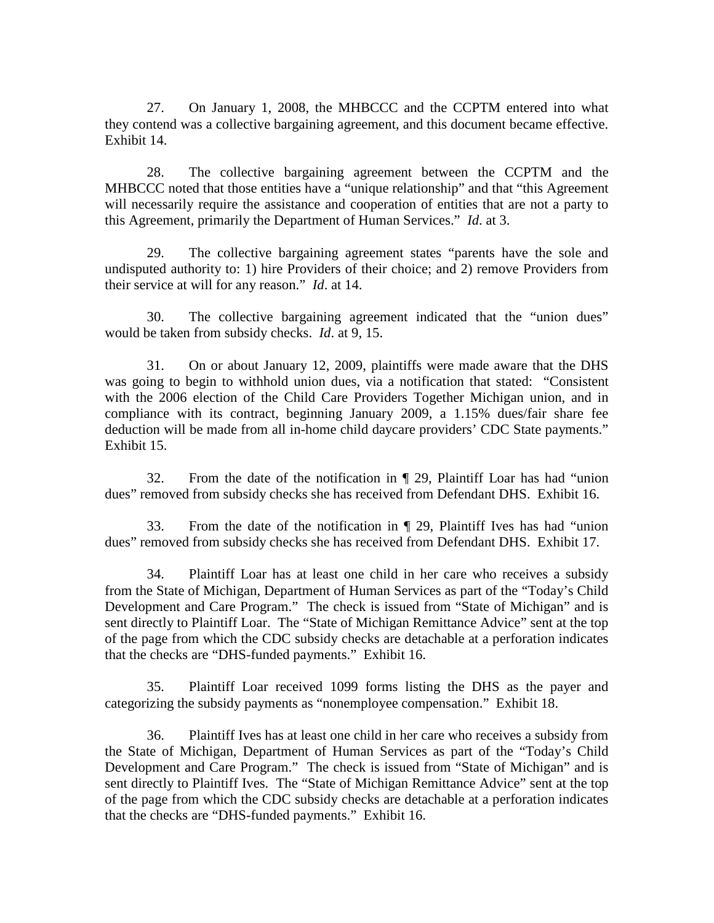27. On January 1, 2008, the MHBCCC and the CCPTM entered into what they contend was a collective bargaining agreement, and this document became effective. Exhibit 14.

28. The collective bargaining agreement between the CCPTM and the MHBCCC noted that those entities have a "unique relationship" and that "this Agreement will necessarily require the assistance and cooperation of entities that are not a party to this Agreement, primarily the Department of Human Services." *Id*. at 3.

29. The collective bargaining agreement states "parents have the sole and undisputed authority to: 1) hire Providers of their choice; and 2) remove Providers from their service at will for any reason." *Id*. at 14.

30. The collective bargaining agreement indicated that the "union dues" would be taken from subsidy checks. *Id*. at 9, 15.

31. On or about January 12, 2009, plaintiffs were made aware that the DHS was going to begin to withhold union dues, via a notification that stated: "Consistent with the 2006 election of the Child Care Providers Together Michigan union, and in compliance with its contract, beginning January 2009, a 1.15% dues/fair share fee deduction will be made from all in-home child daycare providers' CDC State payments." Exhibit 15.

32. From the date of the notification in ¶ 29, Plaintiff Loar has had "union dues" removed from subsidy checks she has received from Defendant DHS. Exhibit 16.

33. From the date of the notification in ¶ 29, Plaintiff Ives has had "union dues" removed from subsidy checks she has received from Defendant DHS. Exhibit 17.

34. Plaintiff Loar has at least one child in her care who receives a subsidy from the State of Michigan, Department of Human Services as part of the "Today's Child Development and Care Program." The check is issued from "State of Michigan" and is sent directly to Plaintiff Loar. The "State of Michigan Remittance Advice" sent at the top of the page from which the CDC subsidy checks are detachable at a perforation indicates that the checks are "DHS-funded payments." Exhibit 16.

35. Plaintiff Loar received 1099 forms listing the DHS as the payer and categorizing the subsidy payments as "nonemployee compensation." Exhibit 18.

36. Plaintiff Ives has at least one child in her care who receives a subsidy from the State of Michigan, Department of Human Services as part of the "Today's Child Development and Care Program." The check is issued from "State of Michigan" and is sent directly to Plaintiff Ives. The "State of Michigan Remittance Advice" sent at the top of the page from which the CDC subsidy checks are detachable at a perforation indicates that the checks are "DHS-funded payments." Exhibit 16.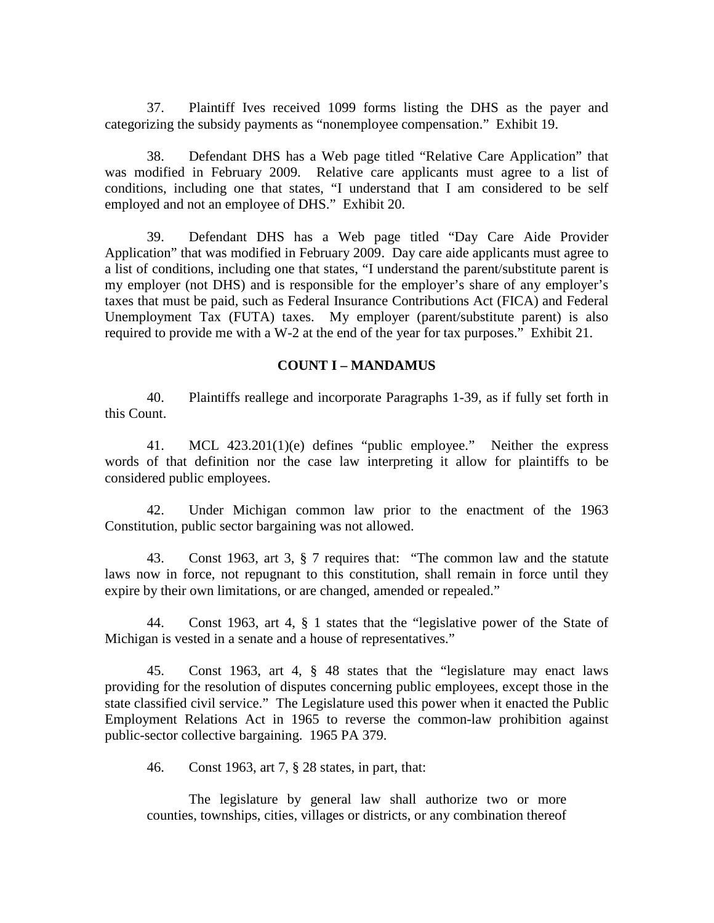37. Plaintiff Ives received 1099 forms listing the DHS as the payer and categorizing the subsidy payments as "nonemployee compensation." Exhibit 19.

38. Defendant DHS has a Web page titled "Relative Care Application" that was modified in February 2009. Relative care applicants must agree to a list of conditions, including one that states, "I understand that I am considered to be self employed and not an employee of DHS." Exhibit 20.

39. Defendant DHS has a Web page titled "Day Care Aide Provider Application" that was modified in February 2009. Day care aide applicants must agree to a list of conditions, including one that states, "I understand the parent/substitute parent is my employer (not DHS) and is responsible for the employer's share of any employer's taxes that must be paid, such as Federal Insurance Contributions Act (FICA) and Federal Unemployment Tax (FUTA) taxes. My employer (parent/substitute parent) is also required to provide me with a W-2 at the end of the year for tax purposes." Exhibit 21.

## **COUNT I – MANDAMUS**

40. Plaintiffs reallege and incorporate Paragraphs 1-39, as if fully set forth in this Count.

41. MCL 423.201(1)(e) defines "public employee." Neither the express words of that definition nor the case law interpreting it allow for plaintiffs to be considered public employees.

42. Under Michigan common law prior to the enactment of the 1963 Constitution, public sector bargaining was not allowed.

43. Const 1963, art 3, § 7 requires that: "The common law and the statute laws now in force, not repugnant to this constitution, shall remain in force until they expire by their own limitations, or are changed, amended or repealed."

44. Const 1963, art 4, § 1 states that the "legislative power of the State of Michigan is vested in a senate and a house of representatives."

45. Const 1963, art 4, § 48 states that the "legislature may enact laws providing for the resolution of disputes concerning public employees, except those in the state classified civil service." The Legislature used this power when it enacted the Public Employment Relations Act in 1965 to reverse the common-law prohibition against public-sector collective bargaining. 1965 PA 379.

46. Const 1963, art 7, § 28 states, in part, that:

The legislature by general law shall authorize two or more counties, townships, cities, villages or districts, or any combination thereof